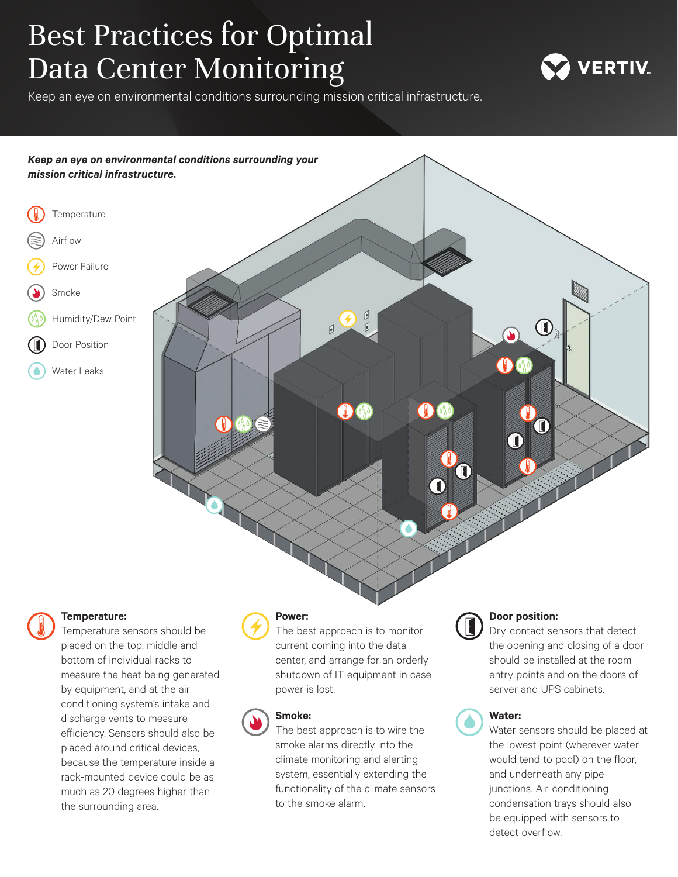# Best Practices for Optimal Data Center Monitoring

Keep an eye on environmental conditions surrounding mission critical infrastructure.





## **Temperature:**

Temperature sensors should be placed on the top, middle and bottom of individual racks to measure the heat being generated by equipment, and at the air conditioning system's intake and discharge vents to measure efficiency. Sensors should also be placed around critical devices, because the temperature inside a rack-mounted device could be as much as 20 degrees higher than the surrounding area.

## **Power:**

The best approach is to monitor current coming into the data center, and arrange for an orderly shutdown of IT equipment in case power is lost.



## **Smoke:**

The best approach is to wire the smoke alarms directly into the climate monitoring and alerting system, essentially extending the functionality of the climate sensors to the smoke alarm.



## **Door position:**

Dry-contact sensors that detect the opening and closing of a door should be installed at the room entry points and on the doors of server and UPS cabinets.



## **Water:**

Water sensors should be placed at the lowest point (wherever water would tend to pool) on the floor, and underneath any pipe junctions. Air-conditioning condensation trays should also be equipped with sensors to detect overflow.